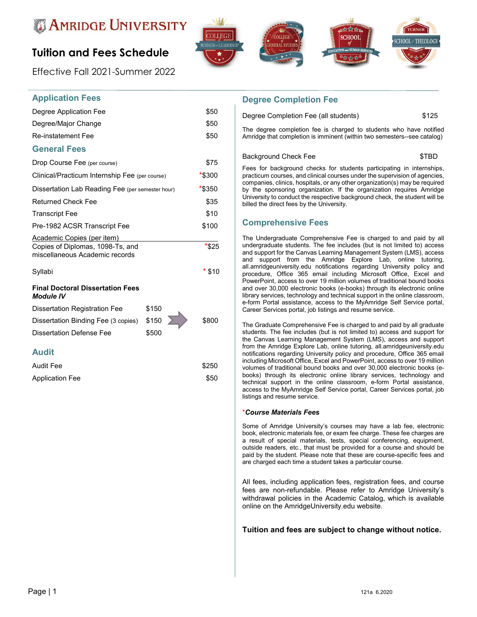

# **Tuition and Fees Schedule**

Effective Fall 2021-Summer 2022



# **Application Fees**

| Degree Application Fee                                             | \$50      |
|--------------------------------------------------------------------|-----------|
| Degree/Major Change                                                | \$50      |
| <b>Re-instatement Fee</b>                                          | \$50      |
| <b>General Fees</b>                                                |           |
| Drop Course Fee (per course)                                       | \$75      |
| Clinical/Practicum Internship Fee (per course)                     | $*$ \$300 |
| Dissertation Lab Reading Fee (per semester hour)                   | *\$350    |
| <b>Returned Check Fee</b>                                          | \$35      |
| <b>Transcript Fee</b>                                              | \$10      |
| Pre-1982 ACSR Transcript Fee                                       | \$100     |
| <b>Academic Copies (per item)</b>                                  |           |
| Copies of Diplomas, 1098-Ts, and<br>miscellaneous Academic records | *\$25     |
| Syllabi                                                            | $*$ \$10  |
| <b>Final Doctoral Dissertation Fees</b><br><b>Module IV</b>        |           |
| Dissertation Registration Fee<br>\$150                             | ь         |

| Dissertation Registration Fee             | \$150 |       |
|-------------------------------------------|-------|-------|
| Dissertation Binding Fee (3 copies) \$150 |       | \$800 |
| Dissertation Defense Fee                  | \$500 |       |

### **Audit**

| <b>Audit Fee</b> | \$250 |
|------------------|-------|
| Application Fee  | \$50  |

### **Degree Completion Fee**

Degree Completion Fee (all students)  $$125$ 

The degree completion fee is charged to students who have notified Amridge that completion is imminent (within two semesters--see catalog)

```
Background Check Fee $TBD
```
Fees for background checks for students participating in internships, practicum courses, and clinical courses under the supervision of agencies, companies, clinics, hospitals, or any other organization(s) may be required by the sponsoring organization. If the organization requires Amridge University to conduct the respective background check, the student will be billed the direct fees by the University.

## **Comprehensive Fees**

The Undergraduate Comprehensive Fee is charged to and paid by all undergraduate students. The fee includes (but is not limited to) access and support for the Canvas Learning Management System (LMS), access and support from the Amridge Explore Lab, online tutoring, all.amridgeuniversity.edu notifications regarding University policy and procedure, Office 365 email including Microsoft Office, Excel and PowerPoint, access to over 19 million volumes of traditional bound books and over 30,000 electronic books (e-books) through its electronic online library services, technology and technical support in the online classroom, e-form Portal assistance, access to the MyAmridge Self Service portal, Career Services portal, job listings and resume service.

The Graduate Comprehensive Fee is charged to and paid by all graduate students. The fee includes (but is not limited to) access and support for the Canvas Learning Management System (LMS), access and support from the Amridge Explore Lab, online tutoring, all.amridgeuniversity.edu notifications regarding University policy and procedure, Office 365 email including Microsoft Office, Excel and PowerPoint, access to over 19 million volumes of traditional bound books and over 30,000 electronic books (ebooks) through its electronic online library services, technology and technical support in the online classroom, e-form Portal assistance, access to the MyAmridge Self Service portal, Career Services portal, job listings and resume service.

#### \**Course Materials Fees*

Some of Amridge University's courses may have a lab fee, electronic book, electronic materials fee, or exam fee charge. These fee charges are a result of special materials, tests, special conferencing, equipment, outside readers, etc., that must be provided for a course and should be paid by the student. Please note that these are course-specific fees and are charged each time a student takes a particular course.

All fees, including application fees, registration fees, and course fees are non-refundable. Please refer to Amridge University's withdrawal policies in the Academic Catalog, which is available online on the AmridgeUniversity.edu website.

#### **Tuition and fees are subject to change without notice.**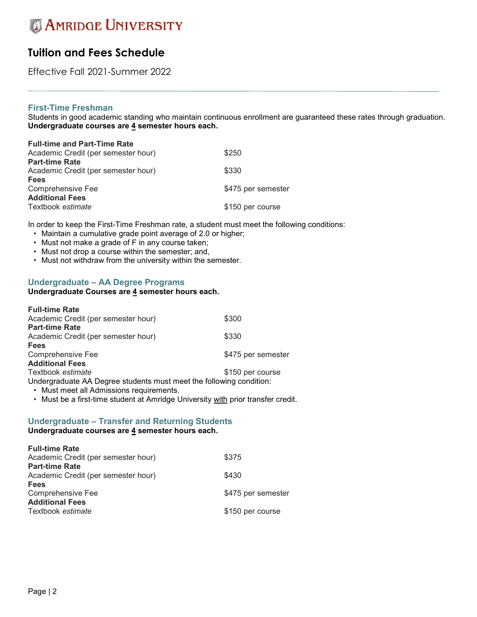# **Tuition and Fees Schedule**

Effective Fall 2021-Summer 2022

## **First-Time Freshman**

Students in good academic standing who maintain continuous enrollment are guaranteed these rates through graduation. **Undergraduate courses are 4 semester hours each.**

| <b>Full-time and Part-Time Rate</b> |                    |
|-------------------------------------|--------------------|
| Academic Credit (per semester hour) | \$250              |
| <b>Part-time Rate</b>               |                    |
| Academic Credit (per semester hour) | \$330              |
| <b>Fees</b>                         |                    |
| Comprehensive Fee                   | \$475 per semester |
| <b>Additional Fees</b>              |                    |
| Textbook estimate                   | \$150 per course   |
|                                     |                    |

In order to keep the First-Time Freshman rate, a student must meet the following conditions:

- Maintain a cumulative grade point average of 2.0 or higher;
- Must not make a grade of F in any course taken;
- Must not drop a course within the semester; and,
- Must not withdraw from the university within the semester.

## **Undergraduate – AA Degree Programs**

### **Undergraduate Courses are 4 semester hours each.**

| <b>Full-time Rate</b>                                               |                    |
|---------------------------------------------------------------------|--------------------|
| Academic Credit (per semester hour)                                 | \$300              |
| <b>Part-time Rate</b>                                               |                    |
| Academic Credit (per semester hour)                                 | \$330              |
| <b>Fees</b>                                                         |                    |
| Comprehensive Fee                                                   | \$475 per semester |
| <b>Additional Fees</b>                                              |                    |
| Textbook estimate                                                   | \$150 per course   |
| Undergraduate AA Degree students must meet the following condition: |                    |
| Must reach all Administration requirements                          |                    |

• Must meet all Admissions requirements.

• Must be a first-time student at Amridge University with prior transfer credit.

## **Undergraduate – Transfer and Returning Students**

**Undergraduate courses are 4 semester hours each.**

| <b>Full-time Rate</b>               |                    |
|-------------------------------------|--------------------|
| Academic Credit (per semester hour) | \$375              |
| <b>Part-time Rate</b>               |                    |
| Academic Credit (per semester hour) | \$430              |
| <b>Fees</b>                         |                    |
| Comprehensive Fee                   | \$475 per semester |
| <b>Additional Fees</b>              |                    |
| Textbook estimate                   | \$150 per course   |
|                                     |                    |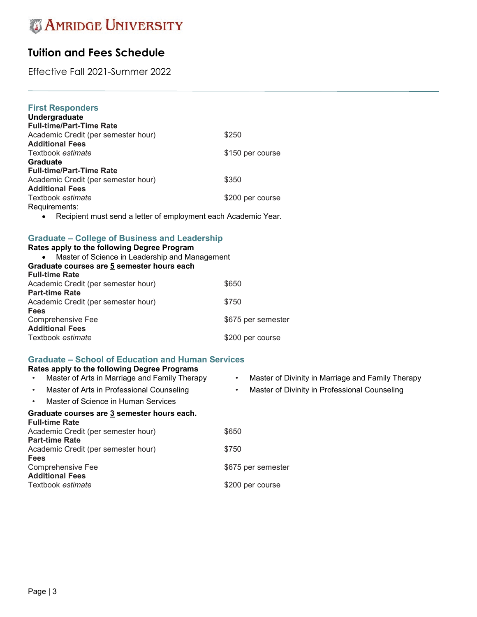# **Tuition and Fees Schedule**

Effective Fall 2021-Summer 2022

# **First Responders**

| Undergraduate                       |                  |
|-------------------------------------|------------------|
| <b>Full-time/Part-Time Rate</b>     |                  |
| Academic Credit (per semester hour) | \$250            |
| <b>Additional Fees</b>              |                  |
| Textbook estimate                   | \$150 per course |
| Graduate                            |                  |
| <b>Full-time/Part-Time Rate</b>     |                  |
| Academic Credit (per semester hour) | \$350            |
| <b>Additional Fees</b>              |                  |
| Textbook estimate                   | \$200 per course |
| Requirements:                       |                  |
|                                     |                  |

• Recipient must send a letter of employment each Academic Year.

# **Graduate – College of Business and Leadership**

| Rates apply to the following Degree Program<br>Master of Science in Leadership and Management<br>$\bullet$ |                    |
|------------------------------------------------------------------------------------------------------------|--------------------|
| Graduate courses are 5 semester hours each                                                                 |                    |
| <b>Full-time Rate</b><br>Academic Credit (per semester hour)                                               | \$650              |
| <b>Part-time Rate</b>                                                                                      |                    |
| Academic Credit (per semester hour)                                                                        | \$750              |
| <b>Fees</b>                                                                                                |                    |
| Comprehensive Fee                                                                                          | \$675 per semester |
| <b>Additional Fees</b>                                                                                     |                    |
| Textbook estimate                                                                                          | \$200 per course   |

#### **Graduate – School of Education and Human Services Rates apply to the following Degree Programs**

| Rates apply to the following Degree Programs                         |                                                                |
|----------------------------------------------------------------------|----------------------------------------------------------------|
| Master of Arts in Marriage and Family Therapy                        | Master of Divinity in Marriage and Family Therapy<br>$\bullet$ |
| Master of Arts in Professional Counseling<br>$\bullet$               | Master of Divinity in Professional Counseling                  |
| Master of Science in Human Services<br>$\bullet$                     |                                                                |
| Graduate courses are 3 semester hours each.<br><b>Full-time Rate</b> |                                                                |
| Academic Credit (per semester hour)                                  | \$650                                                          |
| <b>Part-time Rate</b>                                                |                                                                |
| Academic Credit (per semester hour)                                  | \$750                                                          |
| <b>Fees</b>                                                          |                                                                |
| Comprehensive Fee                                                    | \$675 per semester                                             |
| <b>Additional Fees</b>                                               |                                                                |
| Textbook estimate                                                    | \$200 per course                                               |
|                                                                      |                                                                |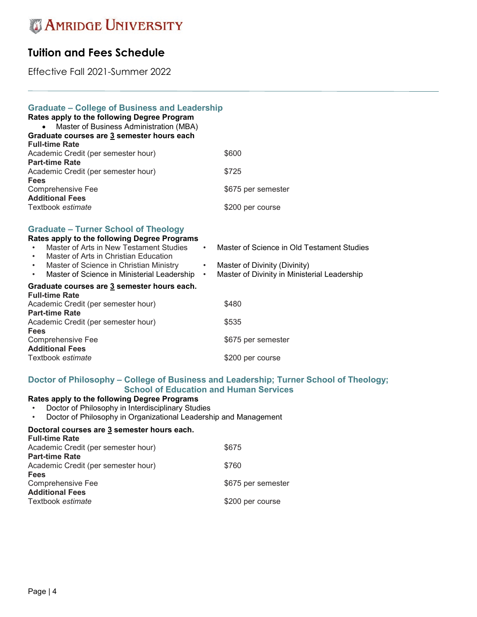# **Tuition and Fees Schedule**

Effective Fall 2021-Summer 2022

| <b>Graduate - College of Business and Leadership</b><br>Rates apply to the following Degree Program<br>Master of Business Administration (MBA)<br>Graduate courses are 3 semester hours each<br><b>Full-time Rate</b>                                                                  |                                                                                                                                                                        |
|----------------------------------------------------------------------------------------------------------------------------------------------------------------------------------------------------------------------------------------------------------------------------------------|------------------------------------------------------------------------------------------------------------------------------------------------------------------------|
| Academic Credit (per semester hour)                                                                                                                                                                                                                                                    | \$600                                                                                                                                                                  |
| <b>Part-time Rate</b>                                                                                                                                                                                                                                                                  |                                                                                                                                                                        |
| Academic Credit (per semester hour)                                                                                                                                                                                                                                                    | \$725                                                                                                                                                                  |
| Fees                                                                                                                                                                                                                                                                                   |                                                                                                                                                                        |
| Comprehensive Fee<br><b>Additional Fees</b>                                                                                                                                                                                                                                            | \$675 per semester                                                                                                                                                     |
| Textbook estimate                                                                                                                                                                                                                                                                      | \$200 per course                                                                                                                                                       |
| <b>Graduate – Turner School of Theology</b><br>Rates apply to the following Degree Programs<br>Master of Arts in New Testament Studies<br>Master of Arts in Christian Education<br>Master of Science in Christian Ministry<br>Master of Science in Ministerial Leadership<br>$\bullet$ | Master of Science in Old Testament Studies<br>$\bullet$<br>Master of Divinity (Divinity)<br>$\bullet$ .<br>Master of Divinity in Ministerial Leadership<br>$\bullet$ . |
| Graduate courses are 3 semester hours each.<br><b>Full-time Rate</b><br>Academic Credit (per semester hour)<br><b>Part-time Rate</b><br>Academic Credit (per semester hour)<br><b>Fees</b><br>Comprehensive Fee                                                                        | \$480<br>\$535<br>\$675 per semester                                                                                                                                   |
| <b>Additional Fees</b><br>Textbook estimate                                                                                                                                                                                                                                            | \$200 per course                                                                                                                                                       |

### **Doctor of Philosophy – College of Business and Leadership; Turner School of Theology; School of Education and Human Services**

# **Rates apply to the following Degree Programs**

• Doctor of Philosophy in Interdisciplinary Studies

• Doctor of Philosophy in Organizational Leadership and Management

#### **Doctoral courses are 3 semester hours each. Full-time Rate**

| <b>Full-time Rate</b>               |                    |
|-------------------------------------|--------------------|
| Academic Credit (per semester hour) | \$675              |
| <b>Part-time Rate</b>               |                    |
| Academic Credit (per semester hour) | \$760              |
| <b>Fees</b>                         |                    |
| <b>Comprehensive Fee</b>            | \$675 per semester |
| <b>Additional Fees</b>              |                    |
| Textbook <i>estimate</i>            | \$200 per course   |
|                                     |                    |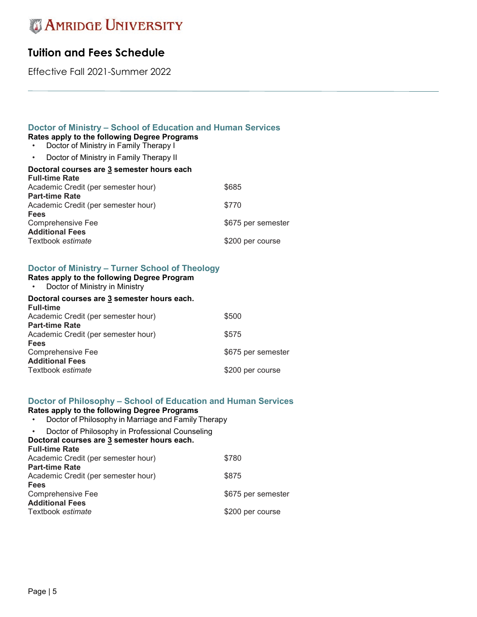# **Tuition and Fees Schedule**

Effective Fall 2021-Summer 2022

# **Doctor of Ministry – School of Education and Human Services**

- **Rates apply to the following Degree Programs**
- Doctor of Ministry in Family Therapy I
- Doctor of Ministry in Family Therapy II

# **Doctor of Ministry – Turner School of Theology**

- **Rates apply to the following Degree Program**
- Doctor of Ministry in Ministry

### **Doctoral courses are 3 semester hours each.**

| <b>Full-time</b>                    |                    |
|-------------------------------------|--------------------|
| Academic Credit (per semester hour) | \$500              |
| <b>Part-time Rate</b>               |                    |
| Academic Credit (per semester hour) | \$575              |
| <b>Fees</b>                         |                    |
| Comprehensive Fee                   | \$675 per semester |
| <b>Additional Fees</b>              |                    |
| Textbook estimate                   | \$200 per course   |
|                                     |                    |

## **Doctor of Philosophy – School of Education and Human Services**

#### **Rates apply to the following Degree Programs**

- Doctor of Philosophy in Marriage and Family Therapy
- Doctor of Philosophy in Professional Counseling

```
Doctoral courses are 3 semester hours each.
Full-time Rate
```

| Academic Credit (per semester hour) | \$780              |
|-------------------------------------|--------------------|
| <b>Part-time Rate</b>               |                    |
| Academic Credit (per semester hour) | \$875              |
| <b>Fees</b>                         |                    |
| Comprehensive Fee                   | \$675 per semester |
| <b>Additional Fees</b>              |                    |
| Textbook estimate                   | \$200 per course   |
|                                     |                    |